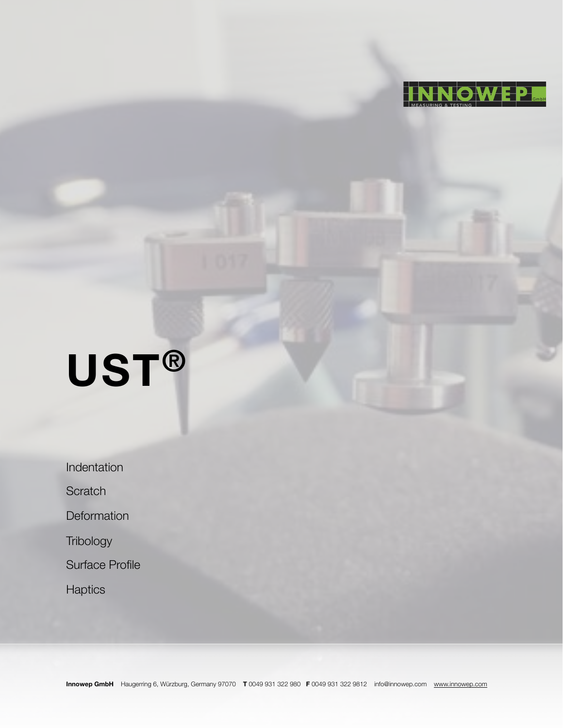

# **UST®**

Indentation

**Scratch** 

**Deformation** 

**Tribology** 

Surface Profile

**Haptics**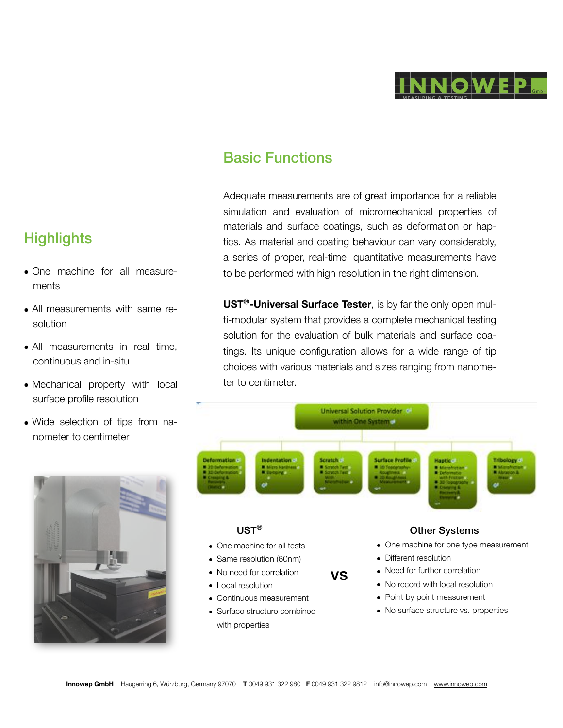

## Basic Functions

Adequate measurements are of great importance for a reliable simulation and evaluation of micromechanical properties of materials and surface coatings, such as deformation or haptics. As material and coating behaviour can vary considerably, a series of proper, real-time, quantitative measurements have to be performed with high resolution in the right dimension.

**UST**®**-Universal Surface Tester**, is by far the only open multi-modular system that provides a complete mechanical testing solution for the evaluation of bulk materials and surface coatings. Its unique configuration allows for a wide range of tip choices with various materials and sizes ranging from nanometer to centimeter.



# **Highlights**

- One machine for all measurements
- All measurements with same resolution
- All measurements in real time, continuous and in-situ
- Mechanical property with local surface profile resolution
- Wide selection of tips from nanometer to centimeter

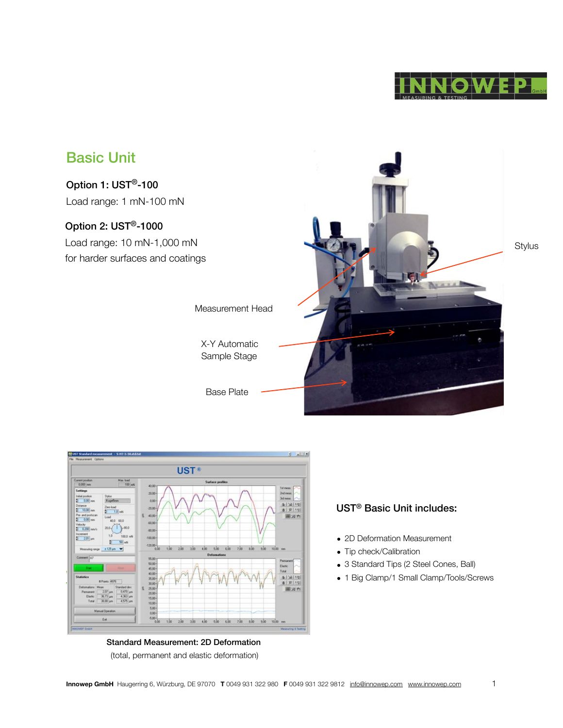





#### Standard Measurement: 2D Deformation (total, permanent and elastic deformation)

#### UST® Basic Unit includes:

- 2D Deformation Measurement
- Tip check/Calibration
- 3 Standard Tips (2 Steel Cones, Ball)
- 1 Big Clamp/1 Small Clamp/Tools/Screws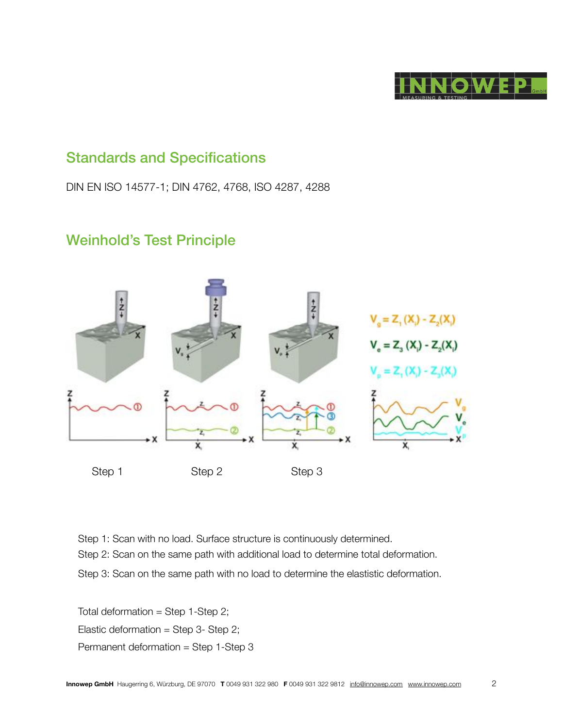

### Standards and Specifications

DIN EN ISO 14577-1; DIN 4762, 4768, ISO 4287, 4288

# Weinhold's Test Principle



Step 1: Scan with no load. Surface structure is continuously determined. Step 2: Scan on the same path with additional load to determine total deformation. Step 3: Scan on the same path with no load to determine the elastistic deformation.

Total deformation = Step  $1$ -Step  $2$ ; Elastic deformation = Step 3- Step 2; Permanent deformation = Step 1-Step 3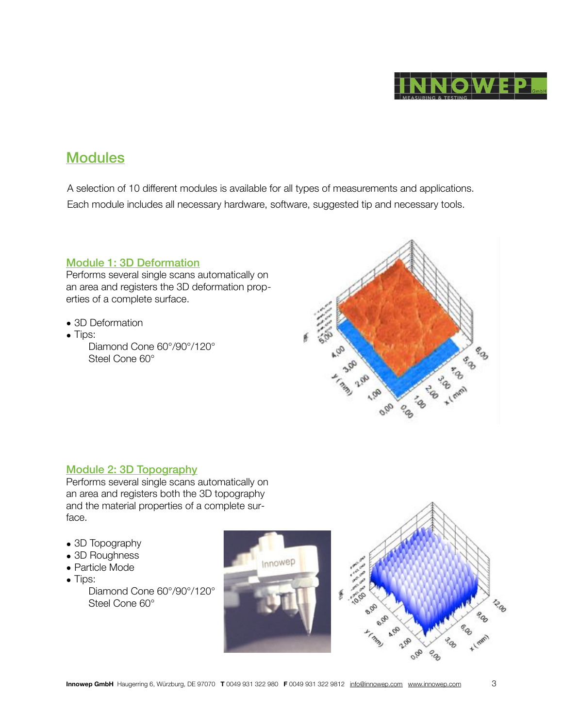

## **Modules**

A selection of 10 different modules is available for all types of measurements and applications. Each module includes all necessary hardware, software, suggested tip and necessary tools.

#### Module 1: 3D Deformation

Performs several single scans automatically on an area and registers the 3D deformation properties of a complete surface.

- 3D Deformation
- Tips: Diamond Cone 60°/90°/120° Steel Cone 60°



#### Module 2: 3D Topography

Performs several single scans automatically on an area and registers both the 3D topography and the material properties of a complete surface.

- 3D Topography
- 3D Roughness
- Particle Mode
- Tips:
	- Diamond Cone 60°/90°/120° Steel Cone 60°



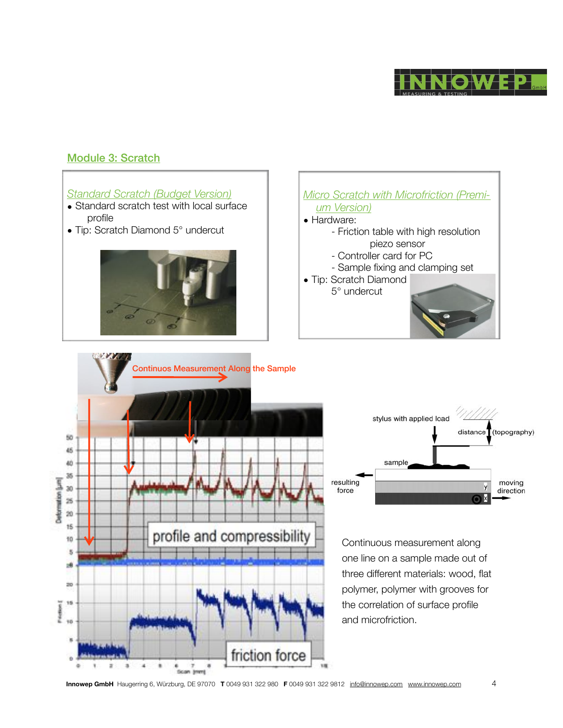

#### Module 3: Scratch

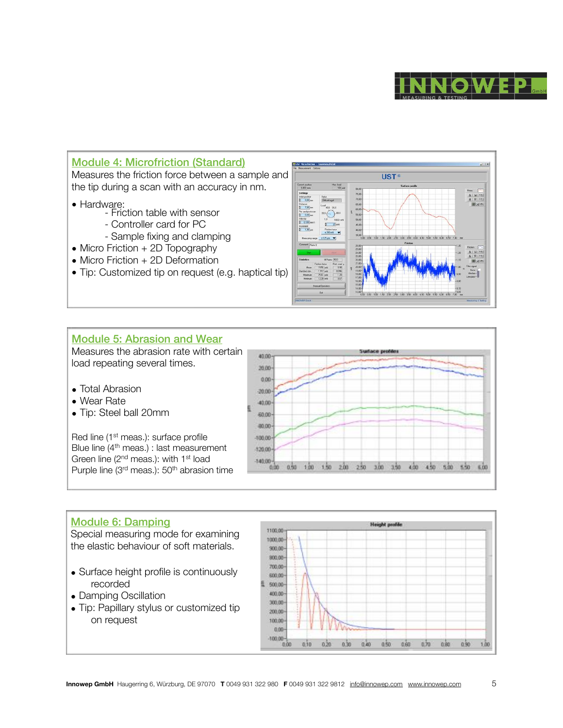



#### Module 5: Abrasion and Wear

Measures the abrasion rate with certain load repeating several times.

- Total Abrasion
- Wear Rate
- Tip: Steel ball 20mm

Red line (1<sup>st</sup> meas.): surface profile Blue line (4th meas.) : last measurement Green line (2<sup>nd</sup> meas.): with 1<sup>st</sup> load Purple line (3<sup>rd</sup> meas.): 50<sup>th</sup> abrasion time



oda aže oda aže ode nkr odr aže aže aže

#### Module 6: Damping

Special measuring mode for examining the elastic behaviour of soft materials.

- Surface height profile is continuously recorded
- Damping Oscillation
- Tip: Papillary stylus or customized tip on request

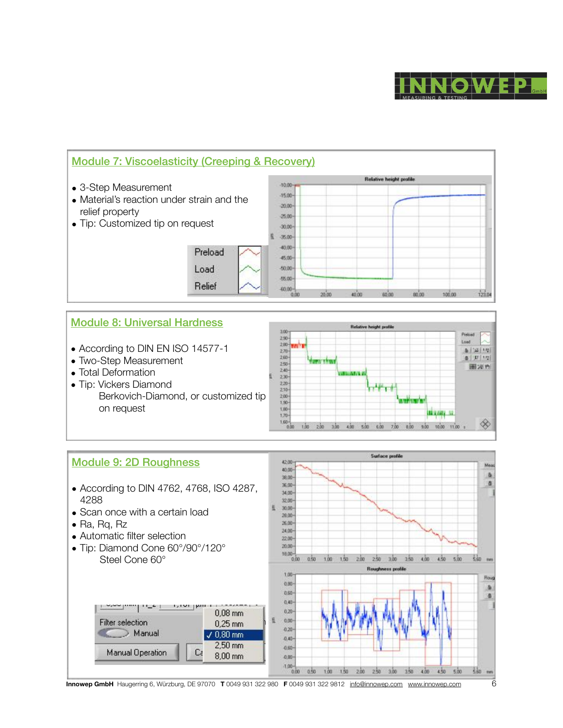



#### Module 8: Universal Hardness

- According to DIN EN ISO 14577-1
- Two-Step Measurement
- Total Deformation
- Tip: Vickers Diamond Berkovich-Diamond, or customized tip on request





**Innowep GmbH** Haugerring 6, Würzburg, DE 97070 **T** 0049 931 322 980 **F** 0049 931 322 9812 [info@innowep.com](mailto:info@innowep.com) [www.innowep.com](http://www.innowep.com) 6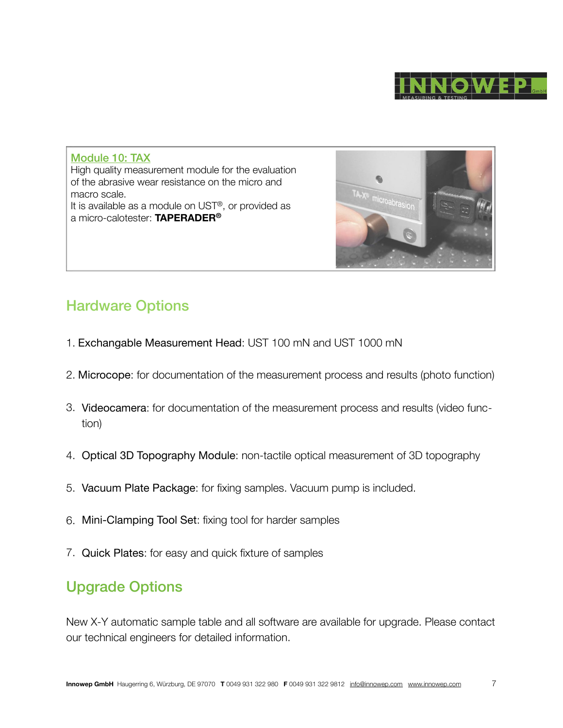

Module 10: TAX High quality measurement module for the evaluation of the abrasive wear resistance on the micro and macro scale. It is available as a module on UST®, or provided as a micro-calotester: **TAPERADER®**



## Hardware Options

- 1. Exchangable Measurement Head: UST 100 mN and UST 1000 mN
- 2. Microcope: for documentation of the measurement process and results (photo function)
- 3. Videocamera: for documentation of the measurement process and results (video function)
- 4. Optical 3D Topography Module: non-tactile optical measurement of 3D topography
- 5. Vacuum Plate Package: for fixing samples. Vacuum pump is included.
- 6. Mini-Clamping Tool Set: fixing tool for harder samples
- 7. Quick Plates: for easy and quick fixture of samples

# Upgrade Options

New X-Y automatic sample table and all software are available for upgrade. Please contact our technical engineers for detailed information.